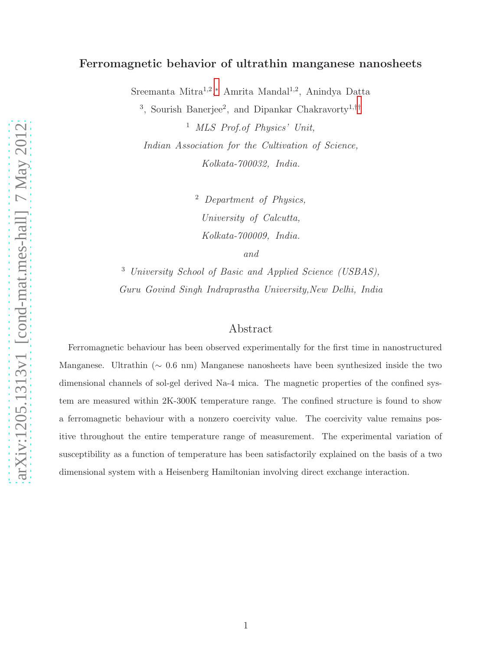# arXiv:1205.1313v1 [cond-mat.mes-hall] 7 May 2012 [arXiv:1205.1313v1 \[cond-mat.mes-hall\] 7 May 2012](http://arxiv.org/abs/1205.1313v1)

# Ferromagnetic behavior of ultrathin manganese nanosheets

Sreemanta Mitra<sup>1,2</sup>,\* Amrita Mandal<sup>1,2</sup>, Anindya Datta

<sup>3</sup>, Sourish Banerjee<sup>2</sup>, and Dipankar Chakravorty<sup>1,[††](#page-10-1)</sup>

<sup>1</sup> MLS Prof.of Physics' Unit, Indian Association for the Cultivation of Science, Kolkata-700032, India.

> <sup>2</sup> Department of Physics, University of Calcutta, Kolkata-700009, India. and

<sup>3</sup> University School of Basic and Applied Science (USBAS), Guru Govind Singh Indraprastha University,New Delhi, India

# Abstract

Ferromagnetic behaviour has been observed experimentally for the first time in nanostructured Manganese. Ultrathin (∼ 0.6 nm) Manganese nanosheets have been synthesized inside the two dimensional channels of sol-gel derived Na-4 mica. The magnetic properties of the confined system are measured within 2K-300K temperature range. The confined structure is found to show a ferromagnetic behaviour with a nonzero coercivity value. The coercivity value remains positive throughout the entire temperature range of measurement. The experimental variation of susceptibility as a function of temperature has been satisfactorily explained on the basis of a two dimensional system with a Heisenberg Hamiltonian involving direct exchange interaction.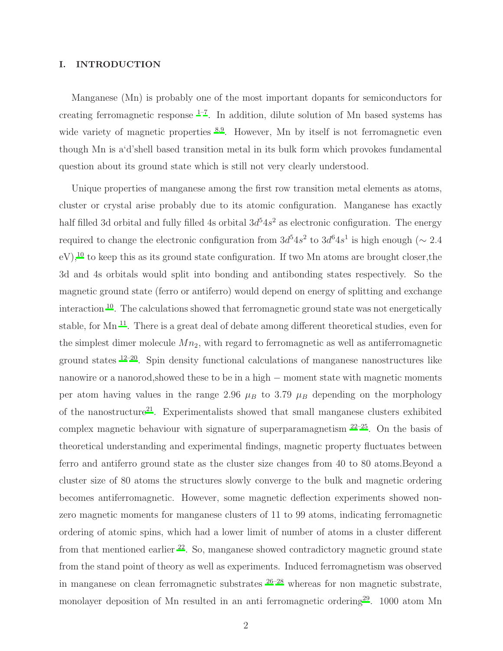## I. INTRODUCTION

Manganese (Mn) is probably one of the most important dopants for semiconductors for creating ferromagnetic response  $1-7$  $1-7$ . In addition, dilute solution of Mn based systems has wide variety of magnetic properties  $8.9$  $8.9$ . However, Mn by itself is not ferromagnetic even though Mn is a'd'shell based transition metal in its bulk form which provokes fundamental question about its ground state which is still not very clearly understood.

Unique properties of manganese among the first row transition metal elements as atoms, cluster or crystal arise probably due to its atomic configuration. Manganese has exactly half filled 3d orbital and fully filled 4s orbital  $3d^54s^2$  as electronic configuration. The energy required to change the electronic configuration from  $3d^54s^2$  to  $3d^64s^1$  is high enough ( $\sim 2.4$ eV),<sup>[10](#page-11-3)</sup> to keep this as its ground state configuration. If two Mn atoms are brought closer, the 3d and 4s orbitals would split into bonding and antibonding states respectively. So the magnetic ground state (ferro or antiferro) would depend on energy of splitting and exchange interaction [10](#page-11-3). The calculations showed that ferromagnetic ground state was not energetically stable, for Mn [11](#page-11-4). There is a great deal of debate among different theoretical studies, even for the simplest dimer molecule  $Mn<sub>2</sub>$ , with regard to ferromagnetic as well as antiferromagnetic ground states  $12-20$  $12-20$ . Spin density functional calculations of manganese nanostructures like nanowire or a nanorod, showed these to be in a high − moment state with magnetic moments per atom having values in the range 2.96  $\mu_B$  to 3.79  $\mu_B$  depending on the morphology of the nanostructure<sup>[21](#page-11-7)</sup>. Experimentalists showed that small manganese clusters exhibited complex magnetic behaviour with signature of superparamagnetism  $22-25$  $22-25$ . On the basis of theoretical understanding and experimental findings, magnetic property fluctuates between ferro and antiferro ground state as the cluster size changes from 40 to 80 atoms.Beyond a cluster size of 80 atoms the structures slowly converge to the bulk and magnetic ordering becomes antiferromagnetic. However, some magnetic deflection experiments showed nonzero magnetic moments for manganese clusters of 11 to 99 atoms, indicating ferromagnetic ordering of atomic spins, which had a lower limit of number of atoms in a cluster different from that mentioned earlier  $^{22}$  $^{22}$  $^{22}$ . So, manganese showed contradictory magnetic ground state from the stand point of theory as well as experiments. Induced ferromagnetism was observed in manganese on clean ferromagnetic substrates  $26-28$  $26-28$  whereas for non magnetic substrate, monolayer deposition of Mn resulted in an anti-ferromagnetic ordering<sup>[29](#page-12-1)</sup>. 1000 atom Mn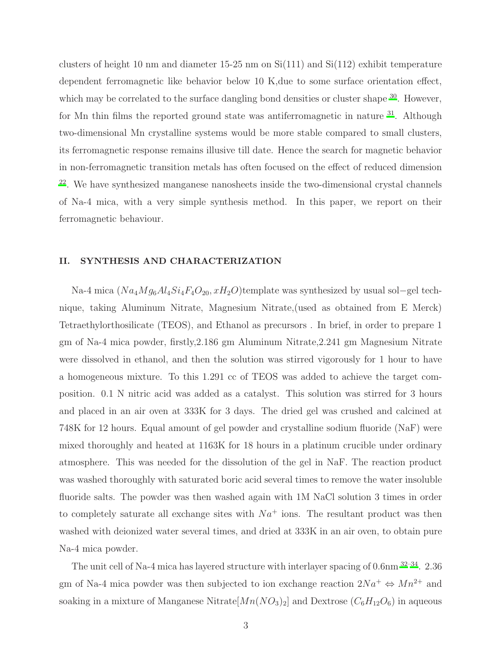clusters of height 10 nm and diameter 15-25 nm on  $Si(111)$  and  $Si(112)$  exhibit temperature dependent ferromagnetic like behavior below 10 K,due to some surface orientation effect, which may be correlated to the surface dangling bond densities or cluster shape  $30$ . However, for Mn thin films the reported ground state was antiferromagnetic in nature  $31$ . Although two-dimensional Mn crystalline systems would be more stable compared to small clusters, its ferromagnetic response remains illusive till date. Hence the search for magnetic behavior in non-ferromagnetic transition metals has often focused on the effect of reduced dimension <sup>[22](#page-11-8)</sup>. We have synthesized manganese nanosheets inside the two-dimensional crystal channels of Na-4 mica, with a very simple synthesis method. In this paper, we report on their ferromagnetic behaviour.

# II. SYNTHESIS AND CHARACTERIZATION

Na-4 mica  $(Na_4Mg_6Al_4Si_4F_4O_{20}, xH_2O)$ template was synthesized by usual sol−gel technique, taking Aluminum Nitrate, Magnesium Nitrate,(used as obtained from E Merck) Tetraethylorthosilicate (TEOS), and Ethanol as precursors . In brief, in order to prepare 1 gm of Na-4 mica powder, firstly,2.186 gm Aluminum Nitrate,2.241 gm Magnesium Nitrate were dissolved in ethanol, and then the solution was stirred vigorously for 1 hour to have a homogeneous mixture. To this 1.291 cc of TEOS was added to achieve the target composition. 0.1 N nitric acid was added as a catalyst. This solution was stirred for 3 hours and placed in an air oven at 333K for 3 days. The dried gel was crushed and calcined at 748K for 12 hours. Equal amount of gel powder and crystalline sodium fluoride (NaF) were mixed thoroughly and heated at 1163K for 18 hours in a platinum crucible under ordinary atmosphere. This was needed for the dissolution of the gel in NaF. The reaction product was washed thoroughly with saturated boric acid several times to remove the water insoluble fluoride salts. The powder was then washed again with 1M NaCl solution 3 times in order to completely saturate all exchange sites with  $Na<sup>+</sup>$  ions. The resultant product was then washed with deionized water several times, and dried at 333K in an air oven, to obtain pure Na-4 mica powder.

The unit cell of Na-4 mica has layered structure with interlayer spacing of 0.6nm [32](#page-12-4)[–34](#page-12-5). 2.36 gm of Na-4 mica powder was then subjected to ion exchange reaction  $2Na^{+} \Leftrightarrow Mn^{2+}$  and soaking in a mixture of Manganese Nitrate $[Mn(NO_3)_2]$  and Dextrose  $(C_6H_{12}O_6)$  in aqueous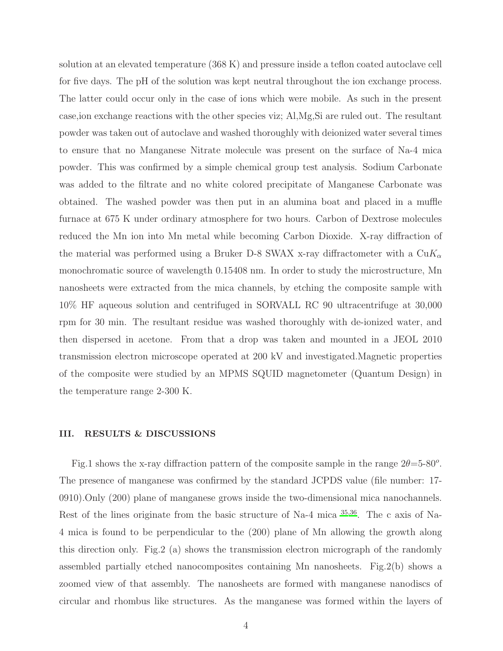solution at an elevated temperature (368 K) and pressure inside a teflon coated autoclave cell for five days. The pH of the solution was kept neutral throughout the ion exchange process. The latter could occur only in the case of ions which were mobile. As such in the present case,ion exchange reactions with the other species viz; Al,Mg,Si are ruled out. The resultant powder was taken out of autoclave and washed thoroughly with deionized water several times to ensure that no Manganese Nitrate molecule was present on the surface of Na-4 mica powder. This was confirmed by a simple chemical group test analysis. Sodium Carbonate was added to the filtrate and no white colored precipitate of Manganese Carbonate was obtained. The washed powder was then put in an alumina boat and placed in a muffle furnace at 675 K under ordinary atmosphere for two hours. Carbon of Dextrose molecules reduced the Mn ion into Mn metal while becoming Carbon Dioxide. X-ray diffraction of the material was performed using a Bruker D-8 SWAX x-ray diffractometer with a  $CuK_{\alpha}$ monochromatic source of wavelength 0.15408 nm. In order to study the microstructure, Mn nanosheets were extracted from the mica channels, by etching the composite sample with 10% HF aqueous solution and centrifuged in SORVALL RC 90 ultracentrifuge at 30,000 rpm for 30 min. The resultant residue was washed thoroughly with de-ionized water, and then dispersed in acetone. From that a drop was taken and mounted in a JEOL 2010 transmission electron microscope operated at 200 kV and investigated.Magnetic properties of the composite were studied by an MPMS SQUID magnetometer (Quantum Design) in the temperature range 2-300 K.

### III. RESULTS & DISCUSSIONS

Fig.1 shows the x-ray diffraction pattern of the composite sample in the range  $2\theta = 5-80^{\circ}$ . The presence of manganese was confirmed by the standard JCPDS value (file number: 17- 0910).Only (200) plane of manganese grows inside the two-dimensional mica nanochannels. Rest of the lines originate from the basic structure of Na-4 mica [35](#page-12-6)[,36](#page-12-7). The c axis of Na-4 mica is found to be perpendicular to the (200) plane of Mn allowing the growth along this direction only. Fig.2 (a) shows the transmission electron micrograph of the randomly assembled partially etched nanocomposites containing Mn nanosheets. Fig.2(b) shows a zoomed view of that assembly. The nanosheets are formed with manganese nanodiscs of circular and rhombus like structures. As the manganese was formed within the layers of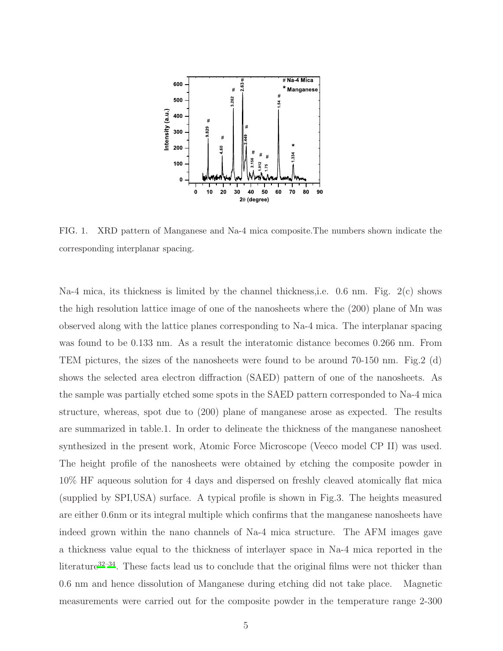

FIG. 1. XRD pattern of Manganese and Na-4 mica composite.The numbers shown indicate the corresponding interplanar spacing.

Na-4 mica, its thickness is limited by the channel thickness,i.e. 0.6 nm. Fig. 2(c) shows the high resolution lattice image of one of the nanosheets where the (200) plane of Mn was observed along with the lattice planes corresponding to Na-4 mica. The interplanar spacing was found to be 0.133 nm. As a result the interatomic distance becomes 0.266 nm. From TEM pictures, the sizes of the nanosheets were found to be around 70-150 nm. Fig.2 (d) shows the selected area electron diffraction (SAED) pattern of one of the nanosheets. As the sample was partially etched some spots in the SAED pattern corresponded to Na-4 mica structure, whereas, spot due to (200) plane of manganese arose as expected. The results are summarized in table.1. In order to delineate the thickness of the manganese nanosheet synthesized in the present work, Atomic Force Microscope (Veeco model CP II) was used. The height profile of the nanosheets were obtained by etching the composite powder in 10% HF aqueous solution for 4 days and dispersed on freshly cleaved atomically flat mica (supplied by SPI,USA) surface. A typical profile is shown in Fig.3. The heights measured are either 0.6nm or its integral multiple which confirms that the manganese nanosheets have indeed grown within the nano channels of Na-4 mica structure. The AFM images gave a thickness value equal to the thickness of interlayer space in Na-4 mica reported in the literature<sup>[32](#page-12-4)[–34](#page-12-5)</sup>. These facts lead us to conclude that the original films were not thicker than 0.6 nm and hence dissolution of Manganese during etching did not take place. Magnetic measurements were carried out for the composite powder in the temperature range 2-300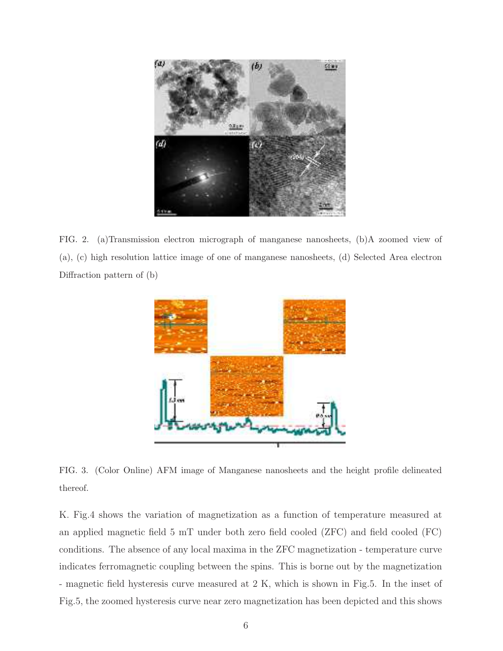

FIG. 2. (a)Transmission electron micrograph of manganese nanosheets, (b)A zoomed view of (a), (c) high resolution lattice image of one of manganese nanosheets, (d) Selected Area electron Diffraction pattern of (b)



FIG. 3. (Color Online) AFM image of Manganese nanosheets and the height profile delineated thereof.

K. Fig.4 shows the variation of magnetization as a function of temperature measured at an applied magnetic field 5 mT under both zero field cooled (ZFC) and field cooled (FC) conditions. The absence of any local maxima in the ZFC magnetization - temperature curve indicates ferromagnetic coupling between the spins. This is borne out by the magnetization - magnetic field hysteresis curve measured at 2 K, which is shown in Fig.5. In the inset of Fig.5, the zoomed hysteresis curve near zero magnetization has been depicted and this shows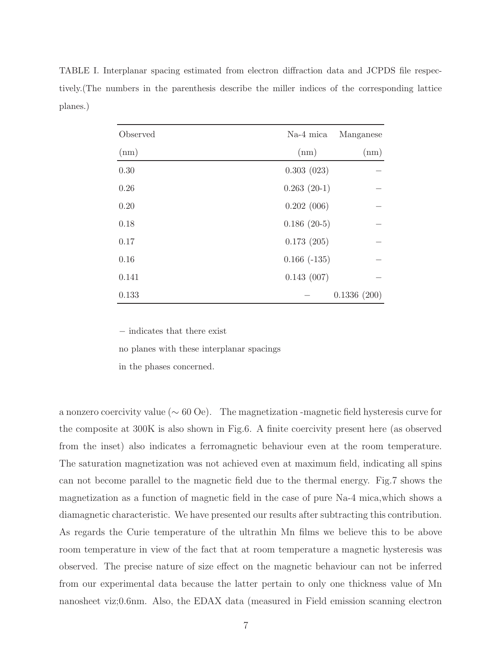TABLE I. Interplanar spacing estimated from electron diffraction data and JCPDS file respectively.(The numbers in the parenthesis describe the miller indices of the corresponding lattice planes.)

| Observed | Na-4 mica     | Manganese   |
|----------|---------------|-------------|
| (nm)     | (nm)          | (nm)        |
| 0.30     | 0.303(023)    |             |
| 0.26     | $0.263(20-1)$ |             |
| 0.20     | 0.202(006)    |             |
| 0.18     | $0.186(20-5)$ |             |
| 0.17     | 0.173(205)    |             |
| 0.16     | $0.166(-135)$ |             |
| 0.141    | 0.143(007)    |             |
| 0.133    |               | 0.1336(200) |

− indicates that there exist

no planes with these interplanar spacings

in the phases concerned.

a nonzero coercivity value (∼ 60 Oe). The magnetization -magnetic field hysteresis curve for the composite at 300K is also shown in Fig.6. A finite coercivity present here (as observed from the inset) also indicates a ferromagnetic behaviour even at the room temperature. The saturation magnetization was not achieved even at maximum field, indicating all spins can not become parallel to the magnetic field due to the thermal energy. Fig.7 shows the magnetization as a function of magnetic field in the case of pure Na-4 mica,which shows a diamagnetic characteristic. We have presented our results after subtracting this contribution. As regards the Curie temperature of the ultrathin Mn films we believe this to be above room temperature in view of the fact that at room temperature a magnetic hysteresis was observed. The precise nature of size effect on the magnetic behaviour can not be inferred from our experimental data because the latter pertain to only one thickness value of Mn nanosheet viz;0.6nm. Also, the EDAX data (measured in Field emission scanning electron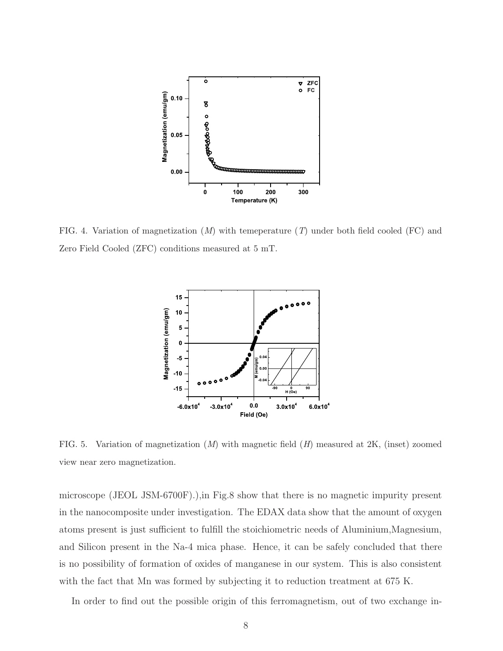

FIG. 4. Variation of magnetization  $(M)$  with temeperature  $(T)$  under both field cooled  $(FC)$  and Zero Field Cooled (ZFC) conditions measured at 5 mT.



FIG. 5. Variation of magnetization  $(M)$  with magnetic field  $(H)$  measured at 2K, (inset) zoomed view near zero magnetization.

microscope (JEOL JSM-6700F).),in Fig.8 show that there is no magnetic impurity present in the nanocomposite under investigation. The EDAX data show that the amount of oxygen atoms present is just sufficient to fulfill the stoichiometric needs of Aluminium,Magnesium, and Silicon present in the Na-4 mica phase. Hence, it can be safely concluded that there is no possibility of formation of oxides of manganese in our system. This is also consistent with the fact that Mn was formed by subjecting it to reduction treatment at 675 K.

In order to find out the possible origin of this ferromagnetism, out of two exchange in-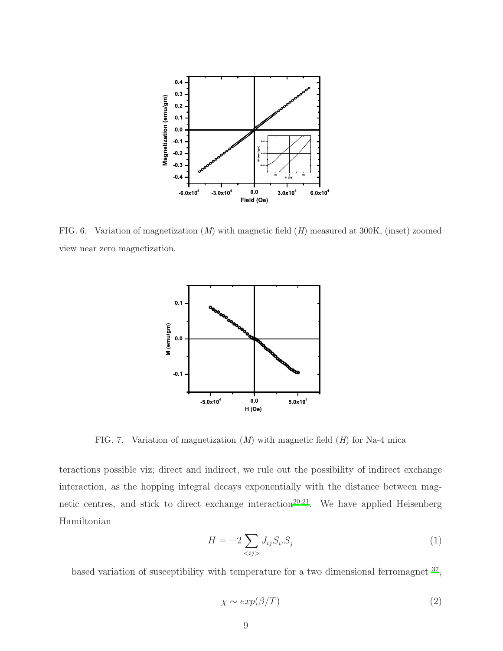

FIG. 6. Variation of magnetization  $(M)$  with magnetic field  $(H)$  measured at 300K, (inset) zoomed view near zero magnetization.



FIG. 7. Variation of magnetization  $(M)$  with magnetic field  $(H)$  for Na-4 mica

teractions possible viz; direct and indirect, we rule out the possibility of indirect exchange interaction, as the hopping integral decays exponentially with the distance between mag-netic centres, and stick to direct exchange interaction<sup>[20](#page-11-6)[,21](#page-11-7)</sup>. We have applied Heisenberg Hamiltonian

$$
H = -2 \sum_{\langle ij \rangle} J_{ij} S_i S_j \tag{1}
$$

based variation of susceptibility with temperature for a two dimensional ferromagnet <sup>[37](#page-12-8)</sup>,

$$
\chi \sim \exp(\beta/T) \tag{2}
$$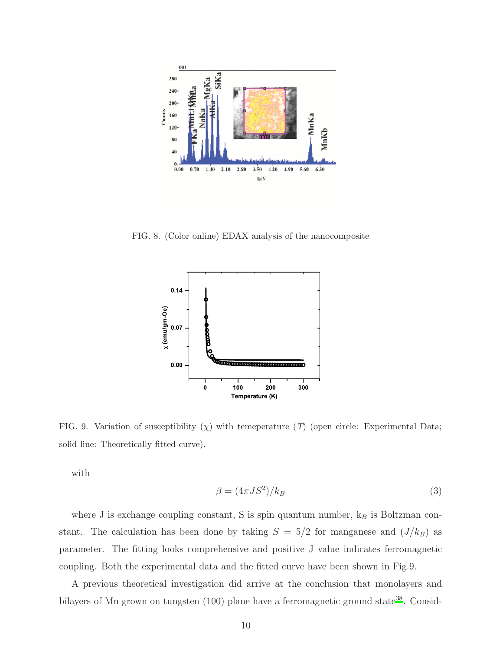

FIG. 8. (Color online) EDAX analysis of the nanocomposite



FIG. 9. Variation of susceptibility  $(\chi)$  with temeperature (T) (open circle: Experimental Data; solid line: Theoretically fitted curve).

with

$$
\beta = (4\pi JS^2)/k_B \tag{3}
$$

where J is exchange coupling constant, S is spin quantum number,  $k_B$  is Boltzman constant. The calculation has been done by taking  $S = 5/2$  for manganese and  $(J/k_B)$  as parameter. The fitting looks comprehensive and positive J value indicates ferromagnetic coupling. Both the experimental data and the fitted curve have been shown in Fig.9.

A previous theoretical investigation did arrive at the conclusion that monolayers and bilayers of Mn grown on tungsten  $(100)$  plane have a ferromagnetic ground state<sup>[38](#page-12-9)</sup>. Consid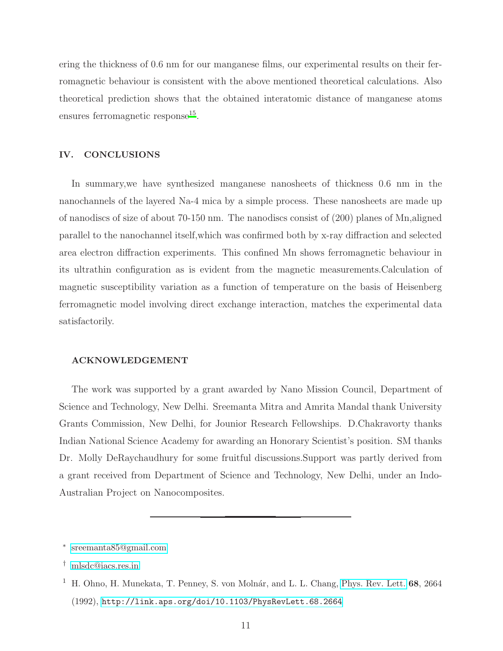ering the thickness of 0.6 nm for our manganese films, our experimental results on their ferromagnetic behaviour is consistent with the above mentioned theoretical calculations. Also theoretical prediction shows that the obtained interatomic distance of manganese atoms ensures ferromagnetic response<sup>[15](#page-11-11)</sup>.

# IV. CONCLUSIONS

In summary,we have synthesized manganese nanosheets of thickness 0.6 nm in the nanochannels of the layered Na-4 mica by a simple process. These nanosheets are made up of nanodiscs of size of about 70-150 nm. The nanodiscs consist of (200) planes of Mn,aligned parallel to the nanochannel itself,which was confirmed both by x-ray diffraction and selected area electron diffraction experiments. This confined Mn shows ferromagnetic behaviour in its ultrathin configuration as is evident from the magnetic measurements.Calculation of magnetic susceptibility variation as a function of temperature on the basis of Heisenberg ferromagnetic model involving direct exchange interaction, matches the experimental data satisfactorily.

### ACKNOWLEDGEMENT

The work was supported by a grant awarded by Nano Mission Council, Department of Science and Technology, New Delhi. Sreemanta Mitra and Amrita Mandal thank University Grants Commission, New Delhi, for Jounior Research Fellowships. D.Chakravorty thanks Indian National Science Academy for awarding an Honorary Scientist's position. SM thanks Dr. Molly DeRaychaudhury for some fruitful discussions.Support was partly derived from a grant received from Department of Science and Technology, New Delhi, under an Indo-Australian Project on Nanocomposites.

<span id="page-10-0"></span><sup>∗</sup> [sreemanta85@gmail.com](mailto:sreemanta85@gmail.com)

<span id="page-10-1"></span><sup>†</sup> [mlsdc@iacs.res.in](mailto:mlsdc@iacs.res.in)

<span id="page-10-2"></span><sup>&</sup>lt;sup>1</sup> H. Ohno, H. Munekata, T. Penney, S. von Molnár, and L. L. Chang, [Phys. Rev. Lett.](http://dx.doi.org/10.1103/PhysRevLett.68.2664)  $68$ ,  $2664$ (1992), <http://link.aps.org/doi/10.1103/PhysRevLett.68.2664>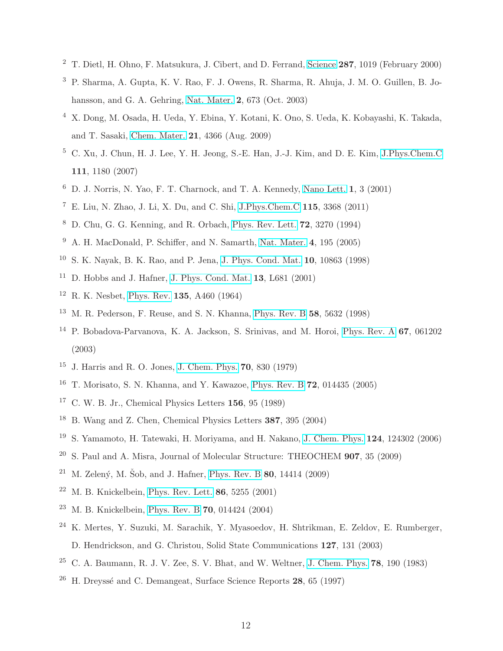- T. Dietl, H. Ohno, F. Matsukura, J. Cibert, and D. Ferrand, [Science](http://dx.doi.org/10.1126/science.287.5455.1019) 287, 1019 (February 2000)
- P. Sharma, A. Gupta, K. V. Rao, F. J. Owens, R. Sharma, R. Ahuja, J. M. O. Guillen, B. Johansson, and G. A. Gehring, [Nat. Mater.](http://dx.doi.org/10.1038/nmat984) 2, 673 (Oct. 2003)
- X. Dong, M. Osada, H. Ueda, Y. Ebina, Y. Kotani, K. Ono, S. Ueda, K. Kobayashi, K. Takada, and T. Sasaki, [Chem. Mater.](http://dx.doi.org/10.1021/cm900210m) 21, 4366 (Aug. 2009)
- C. Xu, J. Chun, H. J. Lee, Y. H. Jeong, S.-E. Han, J.-J. Kim, and D. E. Kim, [J.Phys.Chem.C](http://dx.doi.org/10.1021/jp065378j) , 1180 (2007)
- D. J. Norris, N. Yao, F. T. Charnock, and T. A. Kennedy, [Nano Lett.](http://dx.doi.org/10.1021/nl005503h) 1, 3 (2001)
- <span id="page-11-0"></span> $^7$ E. Liu, N. Zhao, J. Li, X. Du, and C. Shi, [J.Phys.Chem.C](http://dx.doi.org/10.1021/jp110220g)  $\bf 115,$   $\bf 3368$   $(2011)$
- <span id="page-11-1"></span>D. Chu, G. G. Kenning, and R. Orbach, [Phys. Rev. Lett.](http://dx.doi.org/10.1103/PhysRevLett.72.3270) 72, 3270 (1994)
- <span id="page-11-2"></span>A. H. MacDonald, P. Schiffer, and N. Samarth, [Nat. Mater.](http://dx.doi.org/10.1038/nmat1325) 4, 195 (2005)
- <span id="page-11-3"></span>S. K. Nayak, B. K. Rao, and P. Jena, [J. Phys. Cond. Mat.](http://dx.doi.org/10.1088/0953-8984/10/48/009) 10, 10863 (1998)
- <span id="page-11-4"></span><sup>11</sup> D. Hobbs and J. Hafner, [J. Phys. Cond. Mat.](http://dx.doi.org/10.1088/0953-8984/13/28/104) **13**, L681 (2001)
- <span id="page-11-5"></span>R. K. Nesbet, [Phys. Rev.](http://dx.doi.org/10.1103/PhysRev.135.A460) 135, A460 (1964)
- M. R. Pederson, F. Reuse, and S. N. Khanna, [Phys. Rev. B](http://dx.doi.org/10.1103/PhysRevB.58.5632) 58, 5632 (1998)
- P. Bobadova-Parvanova, K. A. Jackson, S. Srinivas, and M. Horoi, [Phys. Rev. A](http://dx.doi.org/10.1103/PhysRevA.67.061202) 67, 061202 (2003)
- <span id="page-11-11"></span>J. Harris and R. O. Jones, [J. Chem. Phys.](http://dx.doi.org/10.1063/1.437516) 70, 830 (1979)
- T. Morisato, S. N. Khanna, and Y. Kawazoe, [Phys. Rev. B](http://dx.doi.org/10.1103/PhysRevB.72.014435) 72, 014435 (2005)
- C. W. B. Jr., Chemical Physics Letters 156, 95 (1989)
- B. Wang and Z. Chen, Chemical Physics Letters 387, 395 (2004)
- S. Yamamoto, H. Tatewaki, H. Moriyama, and H. Nakano, [J. Chem. Phys.](http://dx.doi.org/10.1063/1.2178798) 124, 124302 (2006)
- <span id="page-11-6"></span><sup>20</sup> S. Paul and A. Misra, Journal of Molecular Structure: THEOCHEM  $907$ , 35 (2009)
- <span id="page-11-7"></span><sup>21</sup> M. Zelený, M. Šob, and J. Hafner, [Phys. Rev. B](http://dx.doi.org/10.1103/PhysRevB.80.144414) **80**, 14414 (2009)
- <span id="page-11-8"></span><sup>22</sup> M. B. Knickelbein, [Phys. Rev. Lett.](http://dx.doi.org/10.1103/PhysRevLett.86.5255) **86**, 5255  $(2001)$
- <sup>23</sup> M. B. Knickelbein, [Phys. Rev. B](http://dx.doi.org/10.1103/PhysRevB.70.014424) **70**, 014424 (2004)
- K. Mertes, Y. Suzuki, M. Sarachik, Y. Myasoedov, H. Shtrikman, E. Zeldov, E. Rumberger, D. Hendrickson, and G. Christou, Solid State Communications 127, 131 (2003)
- <span id="page-11-9"></span><sup>25</sup> C. A. Baumann, R. J. V. Zee, S. V. Bhat, and W. Weltner, [J. Chem.](http://dx.doi.org/10.1063/1.444540) Phys. **78**, 190 (1983)
- <span id="page-11-10"></span><sup>26</sup> H. Dreyssé and C. Demangeat, Surface Science Reports **28**,  $65$  (1997)